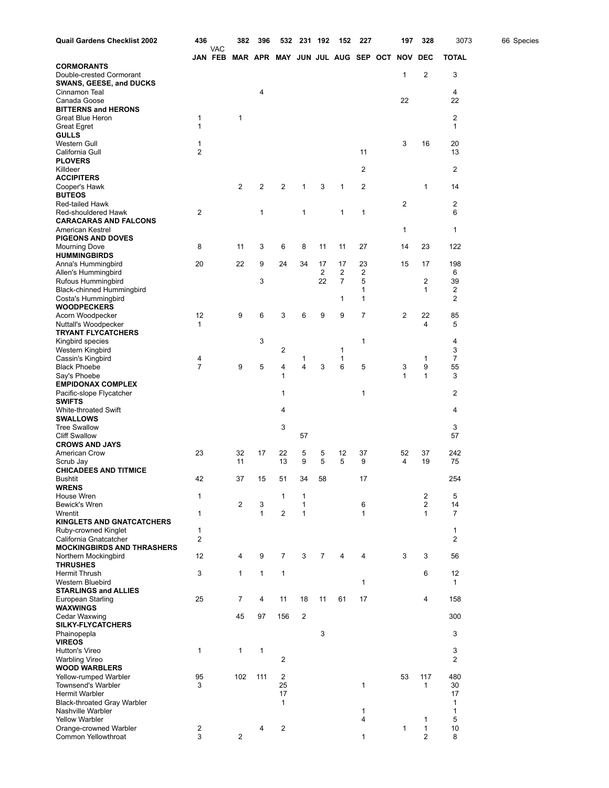| <b>Quail Gardens Checklist 2002</b>                     | 436                 |                              | 382            | 396          | 532                             | 231 192        |                | 152            | 227               | 197          | 328                 | 3073         | 66 Species |
|---------------------------------------------------------|---------------------|------------------------------|----------------|--------------|---------------------------------|----------------|----------------|----------------|-------------------|--------------|---------------------|--------------|------------|
|                                                         |                     | <b>VAC</b><br><b>JAN FEB</b> |                |              | MAR APR MAY JUN JUL AUG SEP OCT |                |                |                |                   | <b>NOV</b>   | <b>DEC</b>          | <b>TOTAL</b> |            |
| <b>CORMORANTS</b>                                       |                     |                              |                |              |                                 |                |                |                |                   |              |                     |              |            |
| Double-crested Cormorant                                |                     |                              |                |              |                                 |                |                |                |                   | 1            | 2                   | 3            |            |
| <b>SWANS, GEESE, and DUCKS</b><br>Cinnamon Teal         |                     |                              |                | 4            |                                 |                |                |                |                   |              |                     | 4            |            |
| Canada Goose                                            |                     |                              |                |              |                                 |                |                |                |                   | 22           |                     | 22           |            |
| <b>BITTERNS and HERONS</b>                              |                     |                              |                |              |                                 |                |                |                |                   |              |                     |              |            |
| Great Blue Heron<br><b>Great Egret</b>                  | 1<br>$\mathbf{1}$   |                              | 1              |              |                                 |                |                |                |                   |              |                     | 2<br>1       |            |
| <b>GULLS</b>                                            |                     |                              |                |              |                                 |                |                |                |                   |              |                     |              |            |
| Western Gull                                            | 1                   |                              |                |              |                                 |                |                |                |                   | 3            | 16                  | 20           |            |
| California Gull                                         | 2                   |                              |                |              |                                 |                |                |                | 11                |              |                     | 13           |            |
| <b>PLOVERS</b><br>Killdeer                              |                     |                              |                |              |                                 |                |                |                | $\overline{2}$    |              |                     | 2            |            |
| <b>ACCIPITERS</b>                                       |                     |                              |                |              |                                 |                |                |                |                   |              |                     |              |            |
| Cooper's Hawk                                           |                     |                              | $\overline{2}$ | 2            | 2                               | 1              | 3              | 1              | $\overline{2}$    |              | 1                   | 14           |            |
| <b>BUTEOS</b><br><b>Red-tailed Hawk</b>                 |                     |                              |                |              |                                 |                |                |                |                   | 2            |                     | 2            |            |
| Red-shouldered Hawk                                     | 2                   |                              |                | 1            |                                 | 1              |                | 1              | $\mathbf{1}$      |              |                     | 6            |            |
| <b>CARACARAS AND FALCONS</b>                            |                     |                              |                |              |                                 |                |                |                |                   |              |                     |              |            |
| American Kestrel                                        |                     |                              |                |              |                                 |                |                |                |                   | 1            |                     | 1            |            |
| <b>PIGEONS AND DOVES</b>                                | 8                   |                              | 11             | 3            | 6                               | 8              | 11             | 11             | 27                | 14           | 23                  | 122          |            |
| Mourning Dove<br><b>HUMMINGBIRDS</b>                    |                     |                              |                |              |                                 |                |                |                |                   |              |                     |              |            |
| Anna's Hummingbird                                      | 20                  |                              | 22             | 9            | 24                              | 34             | 17             | 17             | 23                | 15           | 17                  | 198          |            |
| Allen's Hummingbird                                     |                     |                              |                |              |                                 |                | $\overline{2}$ | $\overline{2}$ | $\overline{2}$    |              |                     | 6            |            |
| Rufous Hummingbird<br><b>Black-chinned Hummingbird</b>  |                     |                              |                | 3            |                                 |                | 22             | $\overline{7}$ | 5<br>1            |              | 2<br>$\mathbf{1}$   | 39<br>2      |            |
| Costa's Hummingbird                                     |                     |                              |                |              |                                 |                |                | 1              | $\mathbf{1}$      |              |                     | 2            |            |
| <b>WOODPECKERS</b>                                      |                     |                              |                |              |                                 |                |                |                |                   |              |                     |              |            |
| Acorn Woodpecker                                        | 12                  |                              | 9              | 6            | 3                               | 6              | 9              | 9              | $\overline{7}$    | 2            | 22                  | 85           |            |
| Nuttall's Woodpecker<br><b>TRYANT FLYCATCHERS</b>       | $\mathbf{1}$        |                              |                |              |                                 |                |                |                |                   |              | 4                   | 5            |            |
| Kingbird species                                        |                     |                              |                | 3            |                                 |                |                |                | $\mathbf{1}$      |              |                     | 4            |            |
| Western Kingbird                                        |                     |                              |                |              | 2                               |                |                | 1              |                   |              |                     | 3            |            |
| Cassin's Kingbird<br><b>Black Phoebe</b>                | 4<br>$\overline{7}$ |                              | 9              | 5            | 4                               | 1<br>4         | 3              | 1<br>6         | 5                 | 3            | 1<br>9              | 7<br>55      |            |
| Say's Phoebe                                            |                     |                              |                |              | 1                               |                |                |                |                   | $\mathbf{1}$ | 1                   | 3            |            |
| <b>EMPIDONAX COMPLEX</b>                                |                     |                              |                |              |                                 |                |                |                |                   |              |                     |              |            |
| Pacific-slope Flycatcher                                |                     |                              |                |              | 1                               |                |                |                | $\mathbf 1$       |              |                     | 2            |            |
| <b>SWIFTS</b><br>White-throated Swift                   |                     |                              |                |              | 4                               |                |                |                |                   |              |                     | 4            |            |
| <b>SWALLOWS</b>                                         |                     |                              |                |              |                                 |                |                |                |                   |              |                     |              |            |
| <b>Tree Swallow</b>                                     |                     |                              |                |              | 3                               |                |                |                |                   |              |                     | 3            |            |
| <b>Cliff Swallow</b><br><b>CROWS AND JAYS</b>           |                     |                              |                |              |                                 | 57             |                |                |                   |              |                     | 57           |            |
| American Crow                                           | 23                  |                              | 32             | 17           | 22                              | 5              | 5              | 12             | 37                | 52           | 37                  | 242          |            |
| Scrub Jay                                               |                     |                              | 11             |              | 13                              | 9              | 5              | 5              | 9                 | 4            | 19                  | 75           |            |
| <b>CHICADEES AND TITMICE</b>                            |                     |                              |                |              |                                 |                |                |                |                   |              |                     |              |            |
| Bushtit<br><b>WRENS</b>                                 | 42                  |                              | 37             | 15           | 51                              | 34             | 58             |                | 17                |              |                     | 254          |            |
| House Wren                                              | 1                   |                              |                |              | 1                               | 1              |                |                |                   |              | $\overline{c}$      | 5            |            |
| Bewick's Wren                                           |                     |                              | 2              | 3            |                                 | 1              |                |                | 6                 |              | $\overline{2}$      | 14           |            |
| Wrentit<br><b>KINGLETS AND GNATCATCHERS</b>             | 1                   |                              |                | $\mathbf 1$  | 2                               | $\mathbf{1}$   |                |                | $\mathbf 1$       |              | $\mathbf{1}$        | 7            |            |
| Ruby-crowned Kinglet                                    | 1                   |                              |                |              |                                 |                |                |                |                   |              |                     | 1            |            |
| California Gnatcatcher                                  | 2                   |                              |                |              |                                 |                |                |                |                   |              |                     | 2            |            |
| <b>MOCKINGBIRDS AND THRASHERS</b>                       |                     |                              |                |              |                                 |                |                |                |                   |              |                     |              |            |
| Northern Mockingbird<br><b>THRUSHES</b>                 | 12                  |                              | 4              | 9            | $\overline{7}$                  | 3              | $\overline{7}$ | 4              | 4                 | 3            | 3                   | 56           |            |
| <b>Hermit Thrush</b>                                    | 3                   |                              | $\mathbf{1}$   | $\mathbf{1}$ | $\mathbf{1}$                    |                |                |                |                   |              | 6                   | 12           |            |
| Western Bluebird                                        |                     |                              |                |              |                                 |                |                |                | 1                 |              |                     | 1            |            |
| <b>STARLINGS and ALLIES</b><br><b>European Starling</b> | 25                  |                              | 7              | 4            | 11                              | 18             | 11             | 61             | 17                |              | 4                   | 158          |            |
| <b>WAXWINGS</b>                                         |                     |                              |                |              |                                 |                |                |                |                   |              |                     |              |            |
| Cedar Waxwing                                           |                     |                              | 45             | 97           | 156                             | $\overline{c}$ |                |                |                   |              |                     | 300          |            |
| <b>SILKY-FLYCATCHERS</b>                                |                     |                              |                |              |                                 |                |                |                |                   |              |                     |              |            |
| Phainopepla<br><b>VIREOS</b>                            |                     |                              |                |              |                                 |                | 3              |                |                   |              |                     | 3            |            |
| <b>Hutton's Vireo</b>                                   | $\mathbf{1}$        |                              | 1              | $\mathbf{1}$ |                                 |                |                |                |                   |              |                     | 3            |            |
| <b>Warbling Vireo</b>                                   |                     |                              |                |              | $\overline{\mathbf{c}}$         |                |                |                |                   |              |                     | 2            |            |
| <b>WOOD WARBLERS</b>                                    |                     |                              |                |              |                                 |                |                |                |                   |              |                     |              |            |
| Yellow-rumped Warbler<br>Townsend's Warbler             | 95<br>3             |                              | 102            | 111          | $\overline{2}$<br>25            |                |                |                | 1                 | 53           | 117<br>$\mathbf{1}$ | 480<br>30    |            |
| Hermit Warbler                                          |                     |                              |                |              | 17                              |                |                |                |                   |              |                     | 17           |            |
| <b>Black-throated Gray Warbler</b>                      |                     |                              |                |              | $\mathbf{1}$                    |                |                |                |                   |              |                     | 1            |            |
| Nashville Warbler<br><b>Yellow Warbler</b>              |                     |                              |                |              |                                 |                |                |                | $\mathbf{1}$<br>4 |              | 1                   | 1<br>5       |            |
| Orange-crowned Warbler                                  | $\overline{c}$      |                              |                | 4            | $\overline{\mathbf{c}}$         |                |                |                |                   | 1            | $\mathbf{1}$        | 10           |            |
| Common Yellowthroat                                     | 3                   |                              | $\overline{2}$ |              |                                 |                |                |                | 1                 |              | $\overline{2}$      | 8            |            |